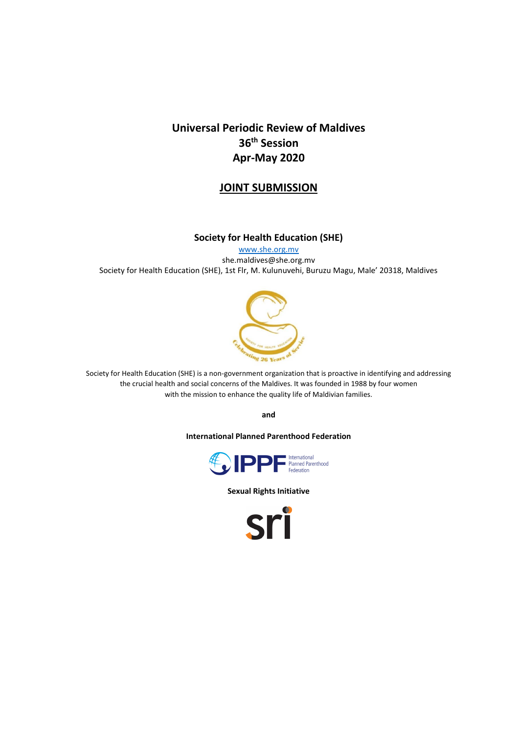# **Universal Periodic Review of Maldives 36th Session Apr-May 2020**

# **JOINT SUBMISSION**

### **Society for Health Education (SHE)**

[www.she.org.mv](http://www.she.org.mv/) she.maldives@she.org.mv Society for Health Education (SHE), 1st Flr, M. Kulunuvehi, Buruzu Magu, Male' 20318, Maldives



Society for Health Education (SHE) is a non-government organization that is proactive in identifying and addressing the crucial health and social concerns of the Maldives. It was founded in 1988 by four women with the mission to enhance the quality life of Maldivian families.

**and**

**International Planned Parenthood Federation**



**Sexual Rights Initiative**

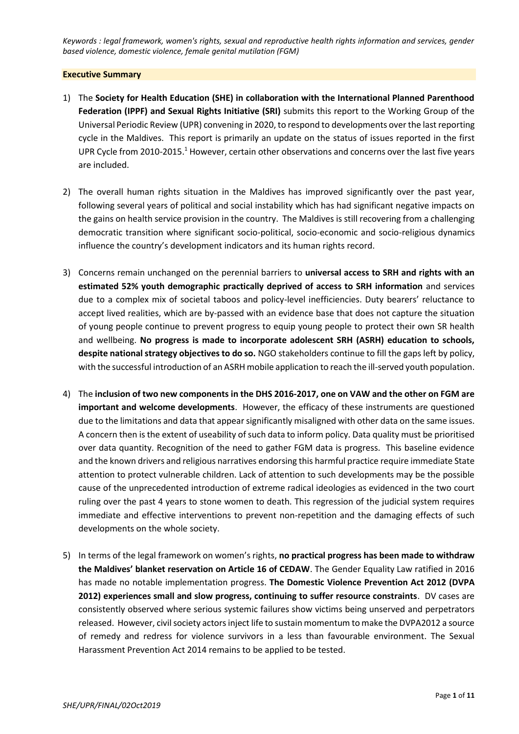*Keywords : legal framework, women's rights, sexual and reproductive health rights information and services, gender based violence, domestic violence, female genital mutilation (FGM)*

#### **Executive Summary**

- 1) The **Society for Health Education (SHE) in collaboration with the International Planned Parenthood Federation (IPPF) and Sexual Rights Initiative (SRI)** submits this report to the Working Group of the Universal Periodic Review (UPR) convening in 2020, to respond to developments over the last reporting cycle in the Maldives. This report is primarily an update on the status of issues reported in the first UPR Cycle from 2010-2015.<sup>1</sup> However, certain other observations and concerns over the last five years are included.
- 2) The overall human rights situation in the Maldives has improved significantly over the past year, following several years of political and social instability which has had significant negative impacts on the gains on health service provision in the country. The Maldives is still recovering from a challenging democratic transition where significant socio-political, socio-economic and socio-religious dynamics influence the country's development indicators and its human rights record.
- 3) Concerns remain unchanged on the perennial barriers to **universal access to SRH and rights with an estimated 52% youth demographic practically deprived of access to SRH information** and services due to a complex mix of societal taboos and policy-level inefficiencies. Duty bearers' reluctance to accept lived realities, which are by-passed with an evidence base that does not capture the situation of young people continue to prevent progress to equip young people to protect their own SR health and wellbeing. **No progress is made to incorporate adolescent SRH (ASRH) education to schools, despite national strategy objectives to do so.** NGO stakeholders continue to fill the gaps left by policy, with the successful introduction of an ASRH mobile application to reach the ill-served youth population.
- 4) The **inclusion of two new components in the DHS 2016-2017, one on VAW and the other on FGM are important and welcome developments**. However, the efficacy of these instruments are questioned due to the limitations and data that appear significantly misaligned with other data on the same issues. A concern then is the extent of useability of such data to inform policy. Data quality must be prioritised over data quantity. Recognition of the need to gather FGM data is progress. This baseline evidence and the known drivers and religious narratives endorsing this harmful practice require immediate State attention to protect vulnerable children. Lack of attention to such developments may be the possible cause of the unprecedented introduction of extreme radical ideologies as evidenced in the two court ruling over the past 4 years to stone women to death. This regression of the judicial system requires immediate and effective interventions to prevent non-repetition and the damaging effects of such developments on the whole society.
- 5) In terms of the legal framework on women's rights, **no practical progress has been made to withdraw the Maldives' blanket reservation on Article 16 of CEDAW**. The Gender Equality Law ratified in 2016 has made no notable implementation progress. **The Domestic Violence Prevention Act 2012 (DVPA 2012) experiences small and slow progress, continuing to suffer resource constraints**. DV cases are consistently observed where serious systemic failures show victims being unserved and perpetrators released. However, civil society actors inject life to sustain momentum to make the DVPA2012 a source of remedy and redress for violence survivors in a less than favourable environment. The Sexual Harassment Prevention Act 2014 remains to be applied to be tested.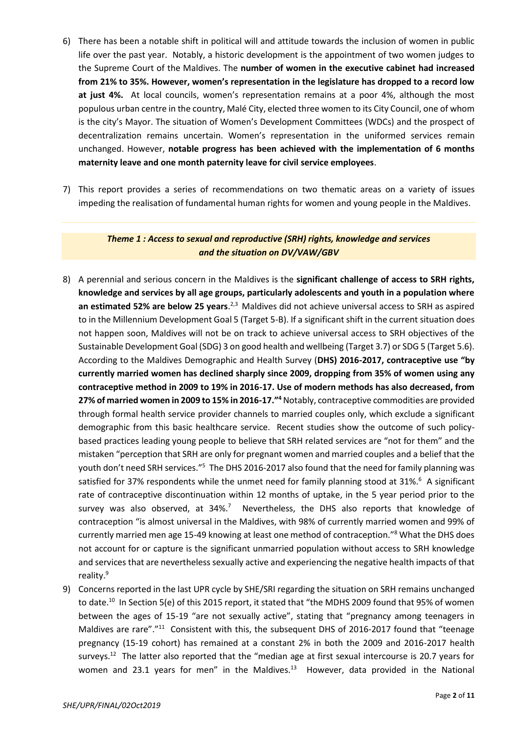- 6) There has been a notable shift in political will and attitude towards the inclusion of women in public life over the past year. Notably, a historic development is the appointment of two women judges to the Supreme Court of the Maldives. The **number of women in the executive cabinet had increased from 21% to 35%. However, women's representation in the legislature has dropped to a record low at just 4%.** At local councils, women's representation remains at a poor 4%, although the most populous urban centre in the country, Malé City, elected three women to its City Council, one of whom is the city's Mayor. The situation of Women's Development Committees (WDCs) and the prospect of decentralization remains uncertain. Women's representation in the uniformed services remain unchanged. However, **notable progress has been achieved with the implementation of 6 months maternity leave and one month paternity leave for civil service employees**.
- 7) This report provides a series of recommendations on two thematic areas on a variety of issues impeding the realisation of fundamental human rights for women and young people in the Maldives.

## *Theme 1 : Access to sexual and reproductive (SRH) rights, knowledge and services and the situation on DV/VAW/GBV*

- 8) A perennial and serious concern in the Maldives is the **significant challenge of access to SRH rights, knowledge and services by all age groups, particularly adolescents and youth in a population where**  an estimated 52% are below 25 years.<sup>2,3</sup> Maldives did not achieve universal access to SRH as aspired to in the Millennium Development Goal 5 (Target 5-B). If a significant shift in the current situation does not happen soon, Maldives will not be on track to achieve universal access to SRH objectives of the Sustainable Development Goal (SDG) 3 on good health and wellbeing (Target 3.7) or SDG 5 (Target 5.6). According to the Maldives Demographic and Health Survey (**DHS) 2016-2017, contraceptive use "by currently married women has declined sharply since 2009, dropping from 35% of women using any contraceptive method in 2009 to 19% in 2016-17. Use of modern methods has also decreased, from 27% of married women in 2009 to 15% in 2016-17."<sup>4</sup>** Notably, contraceptive commodities are provided through formal health service provider channels to married couples only, which exclude a significant demographic from this basic healthcare service. Recent studies show the outcome of such policybased practices leading young people to believe that SRH related services are "not for them" and the mistaken "perception that SRH are only for pregnant women and married couples and a belief that the youth don't need SRH services."<sup>5</sup> The DHS 2016-2017 also found that the need for family planning was satisfied for 37% respondents while the unmet need for family planning stood at 31%.<sup>6</sup> A significant rate of contraceptive discontinuation within 12 months of uptake, in the 5 year period prior to the survey was also observed, at 34%.<sup>7</sup> Nevertheless, the DHS also reports that knowledge of contraception "is almost universal in the Maldives, with 98% of currently married women and 99% of currently married men age 15-49 knowing at least one method of contraception."<sup>8</sup> What the DHS does not account for or capture is the significant unmarried population without access to SRH knowledge and services that are nevertheless sexually active and experiencing the negative health impacts of that reality.<sup>9</sup>
- 9) Concerns reported in the last UPR cycle by SHE/SRI regarding the situation on SRH remains unchanged to date.<sup>10</sup> In Section 5(e) of this 2015 report, it stated that "the MDHS 2009 found that 95% of women between the ages of 15-19 "are not sexually active", stating that "pregnancy among teenagers in Maldives are rare"."<sup>11</sup> Consistent with this, the subsequent DHS of 2016-2017 found that "teenage pregnancy (15-19 cohort) has remained at a constant 2% in both the 2009 and 2016-2017 health surveys.<sup>12</sup> The latter also reported that the "median age at first sexual intercourse is 20.7 years for women and 23.1 years for men" in the Maldives.<sup>13</sup> However, data provided in the National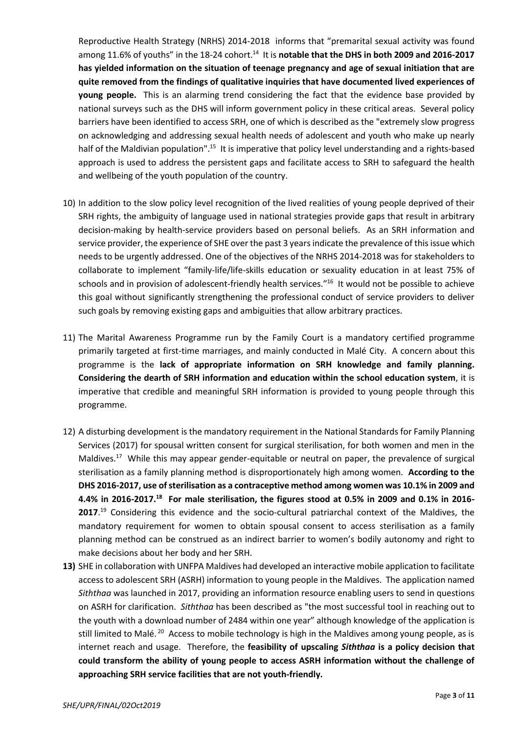Reproductive Health Strategy (NRHS) 2014-2018 informs that "premarital sexual activity was found among 11.6% of youths" in the 18-24 cohort.<sup>14</sup> It is **notable that the DHS in both 2009 and 2016-2017 has yielded information on the situation of teenage pregnancy and age of sexual initiation that are quite removed from the findings of qualitative inquiries that have documented lived experiences of young people.** This is an alarming trend considering the fact that the evidence base provided by national surveys such as the DHS will inform government policy in these critical areas. Several policy barriers have been identified to access SRH, one of which is described as the "extremely slow progress on acknowledging and addressing sexual health needs of adolescent and youth who make up nearly half of the Maldivian population".<sup>15</sup> It is imperative that policy level understanding and a rights-based approach is used to address the persistent gaps and facilitate access to SRH to safeguard the health and wellbeing of the youth population of the country.

- 10) In addition to the slow policy level recognition of the lived realities of young people deprived of their SRH rights, the ambiguity of language used in national strategies provide gaps that result in arbitrary decision-making by health-service providers based on personal beliefs. As an SRH information and service provider, the experience of SHE over the past 3 years indicate the prevalence of this issue which needs to be urgently addressed. One of the objectives of the NRHS 2014-2018 was for stakeholders to collaborate to implement "family-life/life-skills education or sexuality education in at least 75% of schools and in provision of adolescent-friendly health services."<sup>16</sup> It would not be possible to achieve this goal without significantly strengthening the professional conduct of service providers to deliver such goals by removing existing gaps and ambiguities that allow arbitrary practices.
- 11) The Marital Awareness Programme run by the Family Court is a mandatory certified programme primarily targeted at first-time marriages, and mainly conducted in Malé City. A concern about this programme is the **lack of appropriate information on SRH knowledge and family planning. Considering the dearth of SRH information and education within the school education system**, it is imperative that credible and meaningful SRH information is provided to young people through this programme.
- 12) A disturbing development is the mandatory requirement in the National Standards for Family Planning Services (2017) for spousal written consent for surgical sterilisation, for both women and men in the Maldives.<sup>17</sup> While this may appear gender-equitable or neutral on paper, the prevalence of surgical sterilisation as a family planning method is disproportionately high among women. **According to the DHS 2016-2017, use of sterilisation as a contraceptive method among women was 10.1% in 2009 and 4.4% in 2016-2017.<sup>18</sup> For male sterilisation, the figures stood at 0.5% in 2009 and 0.1% in 2016- 2017**. <sup>19</sup> Considering this evidence and the socio-cultural patriarchal context of the Maldives, the mandatory requirement for women to obtain spousal consent to access sterilisation as a family planning method can be construed as an indirect barrier to women's bodily autonomy and right to make decisions about her body and her SRH.
- **13)** SHE in collaboration with UNFPA Maldives had developed an interactive mobile application to facilitate access to adolescent SRH (ASRH) information to young people in the Maldives. The application named *Siththaa* was launched in 2017, providing an information resource enabling users to send in questions on ASRH for clarification. *Siththaa* has been described as "the most successful tool in reaching out to the youth with a download number of 2484 within one year" although knowledge of the application is still limited to Malé.<sup>20</sup> Access to mobile technology is high in the Maldives among young people, as is internet reach and usage. Therefore, the **feasibility of upscaling** *Siththaa* **is a policy decision that could transform the ability of young people to access ASRH information without the challenge of approaching SRH service facilities that are not youth-friendly.**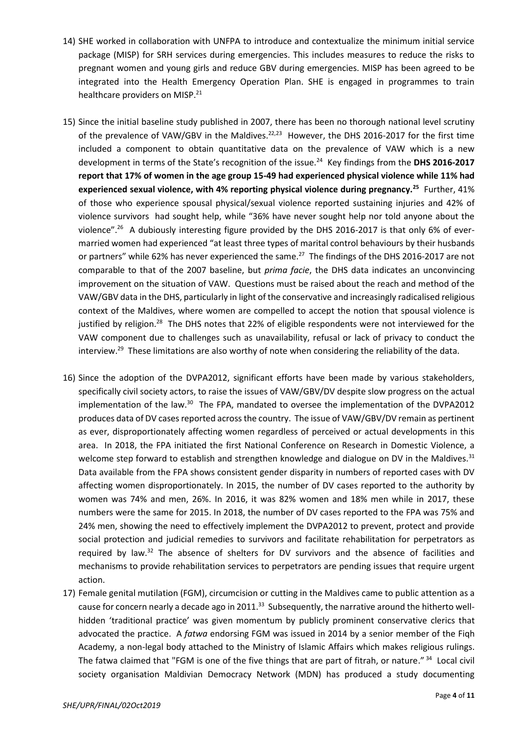- 14) SHE worked in collaboration with UNFPA to introduce and contextualize the minimum initial service package (MISP) for SRH services during emergencies. This includes measures to reduce the risks to pregnant women and young girls and reduce GBV during emergencies. MISP has been agreed to be integrated into the Health Emergency Operation Plan. SHE is engaged in programmes to train healthcare providers on MISP.<sup>21</sup>
- 15) Since the initial baseline study published in 2007, there has been no thorough national level scrutiny of the prevalence of VAW/GBV in the Maldives.<sup>22,23</sup> However, the DHS 2016-2017 for the first time included a component to obtain quantitative data on the prevalence of VAW which is a new development in terms of the State's recognition of the issue.<sup>24</sup> Key findings from the **DHS 2016-2017 report that 17% of women in the age group 15-49 had experienced physical violence while 11% had experienced sexual violence, with 4% reporting physical violence during pregnancy.<sup>25</sup>** Further, 41% of those who experience spousal physical/sexual violence reported sustaining injuries and 42% of violence survivors had sought help, while "36% have never sought help nor told anyone about the violence".<sup>26</sup> A dubiously interesting figure provided by the DHS 2016-2017 is that only 6% of evermarried women had experienced "at least three types of marital control behaviours by their husbands or partners" while 62% has never experienced the same.<sup>27</sup> The findings of the DHS 2016-2017 are not comparable to that of the 2007 baseline, but *prima facie*, the DHS data indicates an unconvincing improvement on the situation of VAW. Questions must be raised about the reach and method of the VAW/GBV data in the DHS, particularly in light of the conservative and increasingly radicalised religious context of the Maldives, where women are compelled to accept the notion that spousal violence is justified by religion.<sup>28</sup> The DHS notes that 22% of eligible respondents were not interviewed for the VAW component due to challenges such as unavailability, refusal or lack of privacy to conduct the interview.<sup>29</sup> These limitations are also worthy of note when considering the reliability of the data.
- 16) Since the adoption of the DVPA2012, significant efforts have been made by various stakeholders, specifically civil society actors, to raise the issues of VAW/GBV/DV despite slow progress on the actual implementation of the law.<sup>30</sup> The FPA, mandated to oversee the implementation of the DVPA2012 produces data of DV cases reported across the country. The issue of VAW/GBV/DV remain as pertinent as ever, disproportionately affecting women regardless of perceived or actual developments in this area. In 2018, the FPA initiated the first National Conference on Research in Domestic Violence, a welcome step forward to establish and strengthen knowledge and dialogue on DV in the Maldives. $31$ Data available from the FPA shows consistent gender disparity in numbers of reported cases with DV affecting women disproportionately. In 2015, the number of DV cases reported to the authority by women was 74% and men, 26%. In 2016, it was 82% women and 18% men while in 2017, these numbers were the same for 2015. In 2018, the number of DV cases reported to the FPA was 75% and 24% men, showing the need to effectively implement the DVPA2012 to prevent, protect and provide social protection and judicial remedies to survivors and facilitate rehabilitation for perpetrators as required by law.<sup>32</sup> The absence of shelters for DV survivors and the absence of facilities and mechanisms to provide rehabilitation services to perpetrators are pending issues that require urgent action.
- 17) Female genital mutilation (FGM), circumcision or cutting in the Maldives came to public attention as a cause for concern nearly a decade ago in 2011.<sup>33</sup> Subsequently, the narrative around the hitherto wellhidden 'traditional practice' was given momentum by publicly prominent conservative clerics that advocated the practice. A *fatwa* endorsing FGM was issued in 2014 by a senior member of the Fiqh Academy, a non-legal body attached to the Ministry of Islamic Affairs which makes religious rulings. The fatwa claimed that "FGM is one of the five things that are part of fitrah, or nature."<sup>34</sup> Local civil society organisation Maldivian Democracy Network (MDN) has produced a study documenting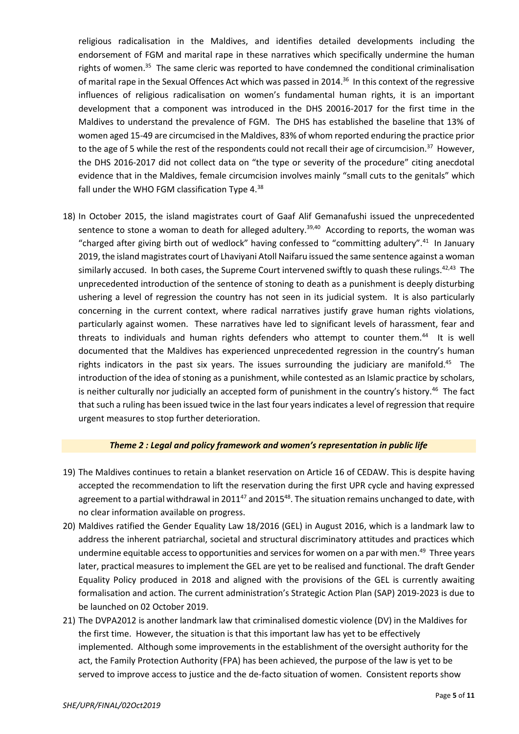religious radicalisation in the Maldives, and identifies detailed developments including the endorsement of FGM and marital rape in these narratives which specifically undermine the human rights of women.<sup>35</sup> The same cleric was reported to have condemned the conditional criminalisation of marital rape in the Sexual Offences Act which was passed in 2014.<sup>36</sup> In this context of the regressive influences of religious radicalisation on women's fundamental human rights, it is an important development that a component was introduced in the DHS 20016-2017 for the first time in the Maldives to understand the prevalence of FGM. The DHS has established the baseline that 13% of women aged 15-49 are circumcised in the Maldives, 83% of whom reported enduring the practice prior to the age of 5 while the rest of the respondents could not recall their age of circumcision.<sup>37</sup> However, the DHS 2016-2017 did not collect data on "the type or severity of the procedure" citing anecdotal evidence that in the Maldives, female circumcision involves mainly "small cuts to the genitals" which fall under the WHO FGM classification Type 4.<sup>38</sup>

18) In October 2015, the island magistrates court of Gaaf Alif Gemanafushi issued the unprecedented sentence to stone a woman to death for alleged adultery.<sup>39,40</sup> According to reports, the woman was "charged after giving birth out of wedlock" having confessed to "committing adultery".<sup>41</sup> In January 2019, the island magistrates court of Lhaviyani Atoll Naifaru issued the same sentence against a woman similarly accused. In both cases, the Supreme Court intervened swiftly to quash these rulings.<sup>42,43</sup> The unprecedented introduction of the sentence of stoning to death as a punishment is deeply disturbing ushering a level of regression the country has not seen in its judicial system. It is also particularly concerning in the current context, where radical narratives justify grave human rights violations, particularly against women. These narratives have led to significant levels of harassment, fear and threats to individuals and human rights defenders who attempt to counter them.<sup>44</sup> It is well documented that the Maldives has experienced unprecedented regression in the country's human rights indicators in the past six years. The issues surrounding the judiciary are manifold.<sup>45</sup> The introduction of the idea of stoning as a punishment, while contested as an Islamic practice by scholars, is neither culturally nor judicially an accepted form of punishment in the country's history.<sup>46</sup> The fact that such a ruling has been issued twice in the last four years indicates a level of regression that require urgent measures to stop further deterioration.

### *Theme 2 : Legal and policy framework and women's representation in public life*

- 19) The Maldives continues to retain a blanket reservation on Article 16 of CEDAW. This is despite having accepted the recommendation to lift the reservation during the first UPR cycle and having expressed agreement to a partial withdrawal in 2011<sup>47</sup> and 2015<sup>48</sup>. The situation remains unchanged to date, with no clear information available on progress.
- 20) Maldives ratified the Gender Equality Law 18/2016 (GEL) in August 2016, which is a landmark law to address the inherent patriarchal, societal and structural discriminatory attitudes and practices which undermine equitable access to opportunities and services for women on a par with men.<sup>49</sup> Three years later, practical measures to implement the GEL are yet to be realised and functional. The draft Gender Equality Policy produced in 2018 and aligned with the provisions of the GEL is currently awaiting formalisation and action. The current administration's Strategic Action Plan (SAP) 2019-2023 is due to be launched on 02 October 2019.
- 21) The DVPA2012 is another landmark law that criminalised domestic violence (DV) in the Maldives for the first time. However, the situation is that this important law has yet to be effectively implemented. Although some improvements in the establishment of the oversight authority for the act, the Family Protection Authority (FPA) has been achieved, the purpose of the law is yet to be served to improve access to justice and the de-facto situation of women. Consistent reports show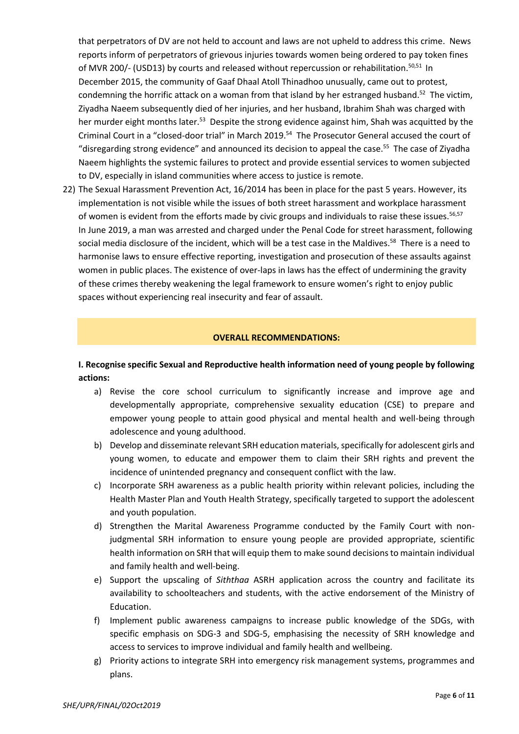that perpetrators of DV are not held to account and laws are not upheld to address this crime. News reports inform of perpetrators of grievous injuries towards women being ordered to pay token fines of MVR 200/- (USD13) by courts and released without repercussion or rehabilitation.<sup>50,51</sup> In December 2015, the community of Gaaf Dhaal Atoll Thinadhoo unusually, came out to protest, condemning the horrific attack on a woman from that island by her estranged husband.<sup>52</sup> The victim, Ziyadha Naeem subsequently died of her injuries, and her husband, Ibrahim Shah was charged with her murder eight months later.<sup>53</sup> Despite the strong evidence against him, Shah was acquitted by the Criminal Court in a "closed-door trial" in March 2019.<sup>54</sup> The Prosecutor General accused the court of "disregarding strong evidence" and announced its decision to appeal the case.<sup>55</sup> The case of Ziyadha Naeem highlights the systemic failures to protect and provide essential services to women subjected to DV, especially in island communities where access to justice is remote.

22) The Sexual Harassment Prevention Act, 16/2014 has been in place for the past 5 years. However, its implementation is not visible while the issues of both street harassment and workplace harassment of women is evident from the efforts made by civic groups and individuals to raise these issues.<sup>56,57</sup> In June 2019, a man was arrested and charged under the Penal Code for street harassment, following social media disclosure of the incident, which will be a test case in the Maldives.<sup>58</sup> There is a need to harmonise laws to ensure effective reporting, investigation and prosecution of these assaults against women in public places. The existence of over-laps in laws has the effect of undermining the gravity of these crimes thereby weakening the legal framework to ensure women's right to enjoy public spaces without experiencing real insecurity and fear of assault.

#### **OVERALL RECOMMENDATIONS:**

**I. Recognise specific Sexual and Reproductive health information need of young people by following actions:** 

- a) Revise the core school curriculum to significantly increase and improve age and developmentally appropriate, comprehensive sexuality education (CSE) to prepare and empower young people to attain good physical and mental health and well-being through adolescence and young adulthood.
- b) Develop and disseminate relevant SRH education materials, specifically for adolescent girls and young women, to educate and empower them to claim their SRH rights and prevent the incidence of unintended pregnancy and consequent conflict with the law.
- c) Incorporate SRH awareness as a public health priority within relevant policies, including the Health Master Plan and Youth Health Strategy, specifically targeted to support the adolescent and youth population.
- d) Strengthen the Marital Awareness Programme conducted by the Family Court with nonjudgmental SRH information to ensure young people are provided appropriate, scientific health information on SRH that will equip them to make sound decisions to maintain individual and family health and well-being.
- e) Support the upscaling of *Siththaa* ASRH application across the country and facilitate its availability to schoolteachers and students, with the active endorsement of the Ministry of Education.
- f) Implement public awareness campaigns to increase public knowledge of the SDGs, with specific emphasis on SDG-3 and SDG-5, emphasising the necessity of SRH knowledge and access to services to improve individual and family health and wellbeing.
- g) Priority actions to integrate SRH into emergency risk management systems, programmes and plans.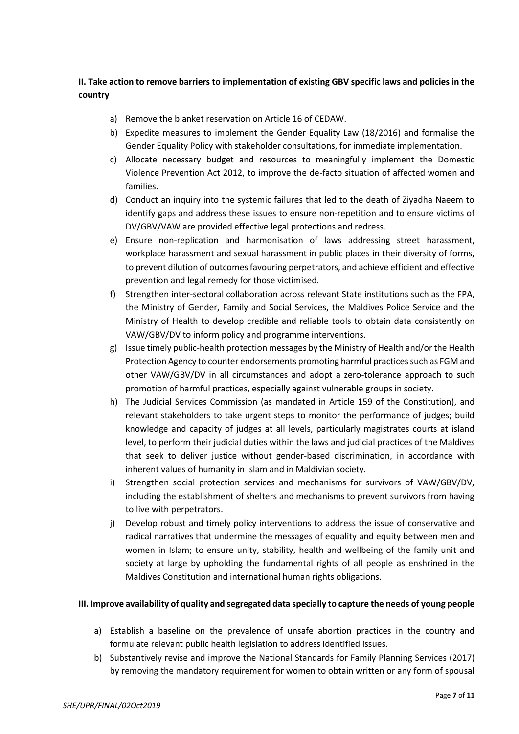### **II. Take action to remove barriers to implementation of existing GBV specific laws and policies in the country**

- a) Remove the blanket reservation on Article 16 of CEDAW.
- b) Expedite measures to implement the Gender Equality Law (18/2016) and formalise the Gender Equality Policy with stakeholder consultations, for immediate implementation.
- c) Allocate necessary budget and resources to meaningfully implement the Domestic Violence Prevention Act 2012, to improve the de-facto situation of affected women and families.
- d) Conduct an inquiry into the systemic failures that led to the death of Ziyadha Naeem to identify gaps and address these issues to ensure non-repetition and to ensure victims of DV/GBV/VAW are provided effective legal protections and redress.
- e) Ensure non-replication and harmonisation of laws addressing street harassment, workplace harassment and sexual harassment in public places in their diversity of forms, to prevent dilution of outcomes favouring perpetrators, and achieve efficient and effective prevention and legal remedy for those victimised.
- f) Strengthen inter-sectoral collaboration across relevant State institutions such as the FPA, the Ministry of Gender, Family and Social Services, the Maldives Police Service and the Ministry of Health to develop credible and reliable tools to obtain data consistently on VAW/GBV/DV to inform policy and programme interventions.
- g) Issue timely public-health protection messages by the Ministry of Health and/or the Health Protection Agency to counter endorsements promoting harmful practices such as FGM and other VAW/GBV/DV in all circumstances and adopt a zero-tolerance approach to such promotion of harmful practices, especially against vulnerable groups in society.
- h) The Judicial Services Commission (as mandated in Article 159 of the Constitution), and relevant stakeholders to take urgent steps to monitor the performance of judges; build knowledge and capacity of judges at all levels, particularly magistrates courts at island level, to perform their judicial duties within the laws and judicial practices of the Maldives that seek to deliver justice without gender-based discrimination, in accordance with inherent values of humanity in Islam and in Maldivian society.
- i) Strengthen social protection services and mechanisms for survivors of VAW/GBV/DV, including the establishment of shelters and mechanisms to prevent survivors from having to live with perpetrators.
- j) Develop robust and timely policy interventions to address the issue of conservative and radical narratives that undermine the messages of equality and equity between men and women in Islam; to ensure unity, stability, health and wellbeing of the family unit and society at large by upholding the fundamental rights of all people as enshrined in the Maldives Constitution and international human rights obligations.

### **III. Improve availability of quality and segregated data specially to capture the needs of young people**

- a) Establish a baseline on the prevalence of unsafe abortion practices in the country and formulate relevant public health legislation to address identified issues.
- b) Substantively revise and improve the National Standards for Family Planning Services (2017) by removing the mandatory requirement for women to obtain written or any form of spousal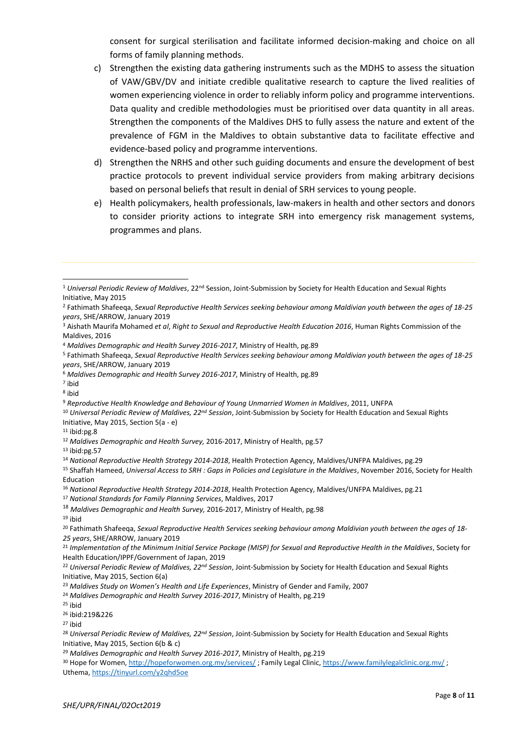consent for surgical sterilisation and facilitate informed decision-making and choice on all forms of family planning methods.

- c) Strengthen the existing data gathering instruments such as the MDHS to assess the situation of VAW/GBV/DV and initiate credible qualitative research to capture the lived realities of women experiencing violence in order to reliably inform policy and programme interventions. Data quality and credible methodologies must be prioritised over data quantity in all areas. Strengthen the components of the Maldives DHS to fully assess the nature and extent of the prevalence of FGM in the Maldives to obtain substantive data to facilitate effective and evidence-based policy and programme interventions.
- d) Strengthen the NRHS and other such guiding documents and ensure the development of best practice protocols to prevent individual service providers from making arbitrary decisions based on personal beliefs that result in denial of SRH services to young people.
- e) Health policymakers, health professionals, law-makers in health and other sectors and donors to consider priority actions to integrate SRH into emergency risk management systems, programmes and plans.

7 ibid

1

<sup>10</sup> *Universal Periodic Review of Maldives, 22nd Session*, Joint-Submission by Society for Health Education and Sexual Rights Initiative, May 2015, Section 5(a - e)

 $11$  ibid:pg.8

- <sup>16</sup> *National Reproductive Health Strategy 2014-2018*, Health Protection Agency, Maldives/UNFPA Maldives, pg.21
- <sup>17</sup> *National Standards for Family Planning Services*, Maldives, 2017

<sup>25</sup> ibid

<sup>1</sup> *Universal Periodic Review of Maldives*, 22nd Session, Joint-Submission by Society for Health Education and Sexual Rights Initiative, May 2015

<sup>2</sup> Fathimath Shafeeqa, *Sexual Reproductive Health Services seeking behaviour among Maldivian youth between the ages of 18-25 years*, SHE/ARROW, January 2019

<sup>3</sup> Aishath Maurifa Mohamed *et al*, *Right to Sexual and Reproductive Health Education 2016*, Human Rights Commission of the Maldives, 2016

<sup>4</sup> *Maldives Demographic and Health Survey 2016-2017*, Ministry of Health, pg.89

<sup>5</sup> Fathimath Shafeeqa, *Sexual Reproductive Health Services seeking behaviour among Maldivian youth between the ages of 18-25 years*, SHE/ARROW, January 2019

<sup>6</sup> *Maldives Demographic and Health Survey 2016-2017*, Ministry of Health, pg.89

<sup>8</sup> ibid

<sup>9</sup> *Reproductive Health Knowledge and Behaviour of Young Unmarried Women in Maldives*, 2011, UNFPA

<sup>12</sup> *Maldives Demographic and Health Survey,* 2016-2017, Ministry of Health, pg.57

 $13$  ibid:pg.57

<sup>14</sup> *National Reproductive Health Strategy 2014-2018*, Health Protection Agency, Maldives/UNFPA Maldives, pg.29

<sup>15</sup> Shaffah Hameed, *Universal Access to SRH : Gaps in Policies and Legislature in the Maldives*, November 2016, Society for Health Education

<sup>18</sup> *Maldives Demographic and Health Survey,* 2016-2017, Ministry of Health, pg.98

<sup>19</sup> ibid

<sup>20</sup> Fathimath Shafeeqa, *Sexual Reproductive Health Services seeking behaviour among Maldivian youth between the ages of 18- 25 years*, SHE/ARROW, January 2019

<sup>21</sup> *Implementation of the Minimum Initial Service Package (MISP) for Sexual and Reproductive Health in the Maldives*, Society for Health Education/IPPF/Government of Japan, 2019

<sup>22</sup> *Universal Periodic Review of Maldives, 22nd Session*, Joint-Submission by Society for Health Education and Sexual Rights Initiative, May 2015, Section 6(a)

<sup>23</sup> *Maldives Study on Women's Health and Life Experiences*, Ministry of Gender and Family, 2007

<sup>24</sup> *Maldives Demographic and Health Survey 2016-2017*, Ministry of Health, pg.219

<sup>26</sup> ibid:219&226

<sup>27</sup> ibid

<sup>28</sup> *Universal Periodic Review of Maldives, 22nd Session*, Joint-Submission by Society for Health Education and Sexual Rights Initiative, May 2015, Section 6(b & c)

<sup>29</sup> *Maldives Demographic and Health Survey 2016-2017*, Ministry of Health, pg.219

<sup>30</sup> Hope for Women,<http://hopeforwomen.org.mv/services/>; Family Legal Clinic[, https://www.familylegalclinic.org.mv/](https://www.familylegalclinic.org.mv/); Uthema,<https://tinyurl.com/y2qhd5oe>